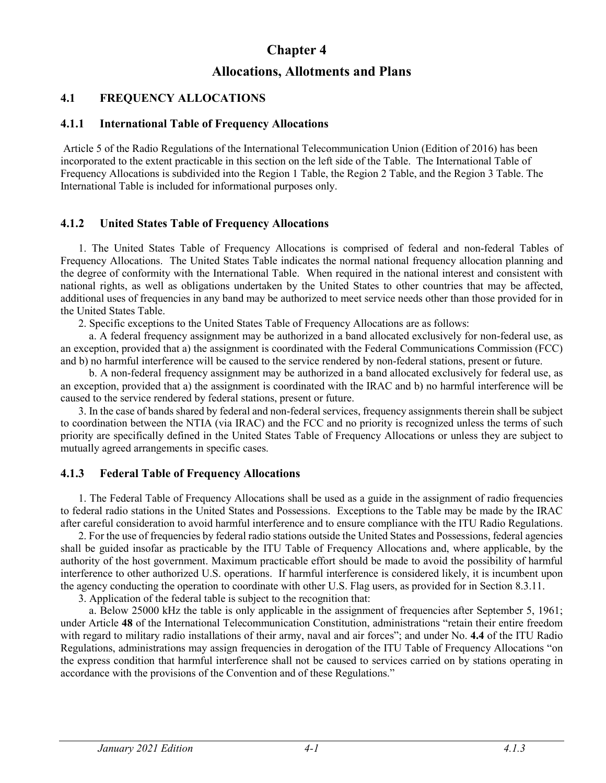# **Chapter 4**

# **Allocations, Allotments and Plans**

# **4.1 FREQUENCY ALLOCATIONS**

#### **4.1.1 International Table of Frequency Allocations**

Article 5 of the Radio Regulations of the International Telecommunication Union (Edition of 2016) has been incorporated to the extent practicable in this section on the left side of the Table. The International Table of Frequency Allocations is subdivided into the Region 1 Table, the Region 2 Table, and the Region 3 Table. The International Table is included for informational purposes only.

## **4.1.2 United States Table of Frequency Allocations**

1. The United States Table of Frequency Allocations is comprised of federal and non-federal Tables of Frequency Allocations. The United States Table indicates the normal national frequency allocation planning and the degree of conformity with the International Table. When required in the national interest and consistent with national rights, as well as obligations undertaken by the United States to other countries that may be affected, additional uses of frequencies in any band may be authorized to meet service needs other than those provided for in the United States Table.

2. Specific exceptions to the United States Table of Frequency Allocations are as follows:

a. A federal frequency assignment may be authorized in a band allocated exclusively for non-federal use, as an exception, provided that a) the assignment is coordinated with the Federal Communications Commission (FCC) and b) no harmful interference will be caused to the service rendered by non-federal stations, present or future.

b. A non-federal frequency assignment may be authorized in a band allocated exclusively for federal use, as an exception, provided that a) the assignment is coordinated with the IRAC and b) no harmful interference will be caused to the service rendered by federal stations, present or future.

3. In the case of bands shared by federal and non-federal services, frequency assignments therein shall be subject to coordination between the NTIA (via IRAC) and the FCC and no priority is recognized unless the terms of such priority are specifically defined in the United States Table of Frequency Allocations or unless they are subject to mutually agreed arrangements in specific cases.

## **4.1.3 Federal Table of Frequency Allocations**

1. The Federal Table of Frequency Allocations shall be used as a guide in the assignment of radio frequencies to federal radio stations in the United States and Possessions. Exceptions to the Table may be made by the IRAC after careful consideration to avoid harmful interference and to ensure compliance with the ITU Radio Regulations.

2. For the use of frequencies by federal radio stations outside the United States and Possessions, federal agencies shall be guided insofar as practicable by the ITU Table of Frequency Allocations and, where applicable, by the authority of the host government. Maximum practicable effort should be made to avoid the possibility of harmful interference to other authorized U.S. operations. If harmful interference is considered likely, it is incumbent upon the agency conducting the operation to coordinate with other U.S. Flag users, as provided for in Section 8.3.11.

3. Application of the federal table is subject to the recognition that:

a. Below 25000 kHz the table is only applicable in the assignment of frequencies after September 5, 1961; under Article **48** of the International Telecommunication Constitution, administrations "retain their entire freedom with regard to military radio installations of their army, naval and air forces"; and under No. **4.4** of the ITU Radio Regulations, administrations may assign frequencies in derogation of the ITU Table of Frequency Allocations "on the express condition that harmful interference shall not be caused to services carried on by stations operating in accordance with the provisions of the Convention and of these Regulations."